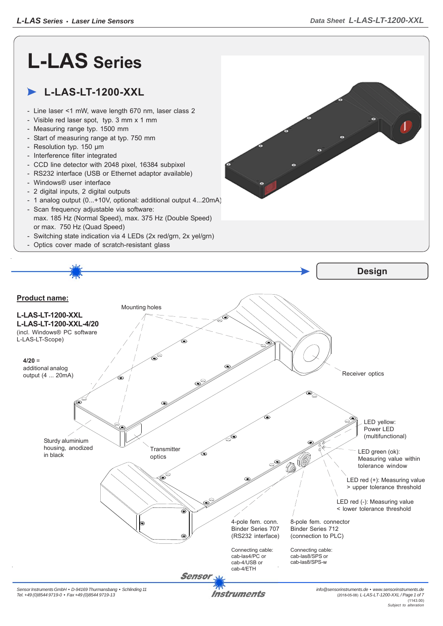## **L-LAS Series**

## **L-LAS-LT-1200-XXL**

- Line laser <1 mW, wave length 670 nm, laser class 2
- Visible red laser spot, typ. 3 mm x 1 mm
- Measuring range typ. 1500 mm
- Start of measuring range at typ. 750 mm
- Resolution typ. 150 μm
- Interference filter integrated
- CCD line detector with 2048 pixel, 16384 subpixel
- RS232 interface (USB or Ethernet adaptor available)
- Windows® user interface
- 2 digital inputs, 2 digital outputs
- 1 analog output (0...+10V, optional: additional output 4...20mA)
- Scan frequency adjustable via software: max. 185 Hz (Normal Speed), max. 375 Hz (Double Speed) or max. 750 Hz (Quad Speed)
- Switching state indication via 4 LEDs (2x red/grn, 2x yel/grn)
- Optics cover made of scratch-resistant glass





*Tel. +49 (0)8544 9719-0 • Fax +49 (0)8544 9719-13*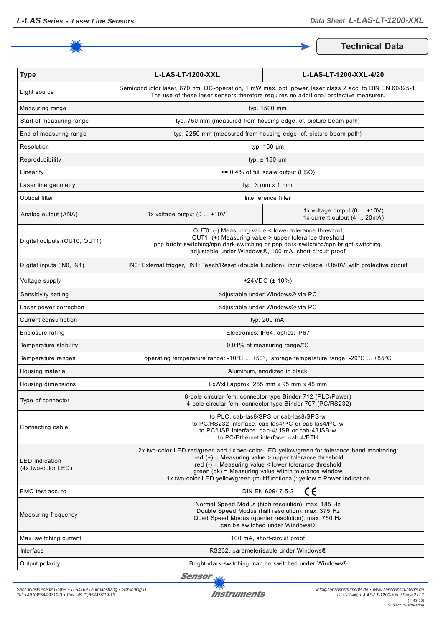

**Technical Data**

| <b>Type</b>                                   | <b>L-LAS-LT-1200-XXL</b>                                                                                                                                                                                                                                                                                                                                | L-LAS-LT-1200-XXL-4/20                                     |  |
|-----------------------------------------------|---------------------------------------------------------------------------------------------------------------------------------------------------------------------------------------------------------------------------------------------------------------------------------------------------------------------------------------------------------|------------------------------------------------------------|--|
| Light source                                  | Semiconductor laser, 670 nm, DC-operation, 1 mW max. opt. power, laser class 2 acc. to DIN EN 60825-1.<br>The use of these laser sensors therefore requires no additional protective measures.                                                                                                                                                          |                                                            |  |
| Measuring range                               | typ. 1500 mm                                                                                                                                                                                                                                                                                                                                            |                                                            |  |
| Start of measuring range                      | typ. 750 mm (measured from housing edge, cf. picture beam path)                                                                                                                                                                                                                                                                                         |                                                            |  |
| End of measuring range                        | typ. 2250 mm (measured from housing edge, cf. picture beam path)                                                                                                                                                                                                                                                                                        |                                                            |  |
| Resolution                                    | typ. 150 µm                                                                                                                                                                                                                                                                                                                                             |                                                            |  |
| Reproducibility                               | typ. ± 150 µm                                                                                                                                                                                                                                                                                                                                           |                                                            |  |
| Linearity                                     | $\leq$ 0.4% of full scale output (FSO)                                                                                                                                                                                                                                                                                                                  |                                                            |  |
| Laser line geometry                           | typ. 3 mm x 1 mm                                                                                                                                                                                                                                                                                                                                        |                                                            |  |
| Optical filter                                | Interference filter                                                                                                                                                                                                                                                                                                                                     |                                                            |  |
| Analog output (ANA)                           | 1x voltage output $(0  +10V)$                                                                                                                                                                                                                                                                                                                           | 1x voltage output (0  +10V)<br>1x current output (4  20mA) |  |
| Digital outputs (OUT0, OUT1)                  | OUT0: (-) Measuring value < lower tolerance threshold<br>OUT1: (+) Measuring value > upper tolerance threshold<br>pnp bright-switching/npn dark-switching or pnp dark-switching/npn bright-switching,<br>adjustable under Windows®, 100 mA, short-circuit proof                                                                                         |                                                            |  |
| Digital inputs (INO, IN1)                     | INO: External trigger, IN1: Teach/Reset (double function), input voltage +Ub/0V, with protective circuit                                                                                                                                                                                                                                                |                                                            |  |
| Voltage supply                                | $+24VDC$ ( $\pm$ 10%)                                                                                                                                                                                                                                                                                                                                   |                                                            |  |
| Sensitivity setting                           | adjustable under Windows® via PC                                                                                                                                                                                                                                                                                                                        |                                                            |  |
| Laser power correction                        | adjustable under Windows® via PC                                                                                                                                                                                                                                                                                                                        |                                                            |  |
| Current consumption                           | typ. 200 mA                                                                                                                                                                                                                                                                                                                                             |                                                            |  |
| Enclosure rating                              | Electronics: IP64, optics: IP67                                                                                                                                                                                                                                                                                                                         |                                                            |  |
| Temperature stability                         | 0.01% of measuring range/°C                                                                                                                                                                                                                                                                                                                             |                                                            |  |
| Temperature ranges                            | operating temperature range: -10°C  +50°, storage temperature range: -20°C  +85°C                                                                                                                                                                                                                                                                       |                                                            |  |
| Housing material                              | Aluminum, anodized in black                                                                                                                                                                                                                                                                                                                             |                                                            |  |
| Housing dimensions                            | LxWxH approx. 255 mm x 95 mm x 45 mm                                                                                                                                                                                                                                                                                                                    |                                                            |  |
| Type of connector                             | 8-pole circular fem. connector type Binder 712 (PLC/Power)<br>4-pole circular fem. connector type Binder 707 (PC/RS232)                                                                                                                                                                                                                                 |                                                            |  |
| Connecting cable                              | to PLC: cab-las8/SPS or cab-las8/SPS-w<br>to PC/RS232 interface: cab-las4/PC or cab-las4/PC-w<br>to PC/USB interface: cab-4/USB or cab-4/USB-w<br>to PC/Ethernet interface: cab-4/ETH                                                                                                                                                                   |                                                            |  |
| <b>LED</b> indication<br>$(4x$ two-color LED) | 2x two-color-LED red/green and 1x two-color-LED yellow/green for tolerance band monitoring:<br>$red (+)$ = Measuring value > upper tolerance threshold<br>$red (-)$ = Measuring value < lower tolerance threshold<br>green (ok) = Measuring value within tolerance window<br>1x two-color LED yellow/green (multifunctional): yellow = Power indication |                                                            |  |
| EMC test acc. to                              | CE<br>DIN EN 60947-5-2                                                                                                                                                                                                                                                                                                                                  |                                                            |  |
| Measuring frequency                           | Normal Speed Modus (high resolution): max. 185 Hz<br>Double Speed Modus (half resolution): max. 375 Hz<br>Quad Speed Modus (quarter resolution): max. 750 Hz<br>can be switched under Windows®                                                                                                                                                          |                                                            |  |
| Max. switching current                        | 100 mA, short-circuit proof                                                                                                                                                                                                                                                                                                                             |                                                            |  |
| Interface                                     | RS232, parameterisable under Windows®                                                                                                                                                                                                                                                                                                                   |                                                            |  |
| Output polarity                               | Bright-/dark-switching, can be switched under Windows®                                                                                                                                                                                                                                                                                                  |                                                            |  |

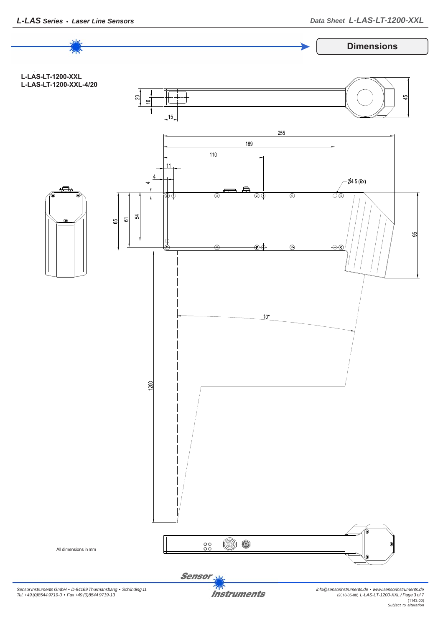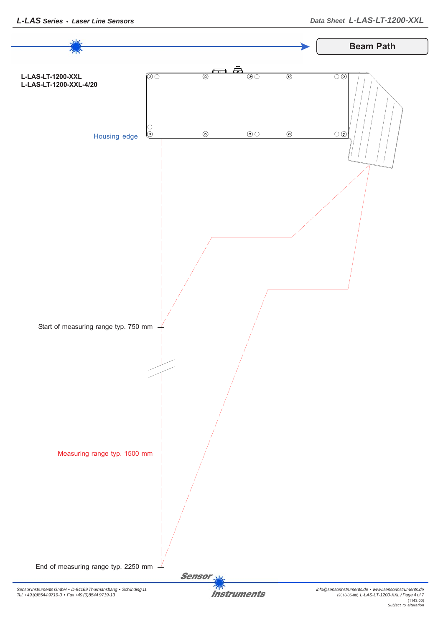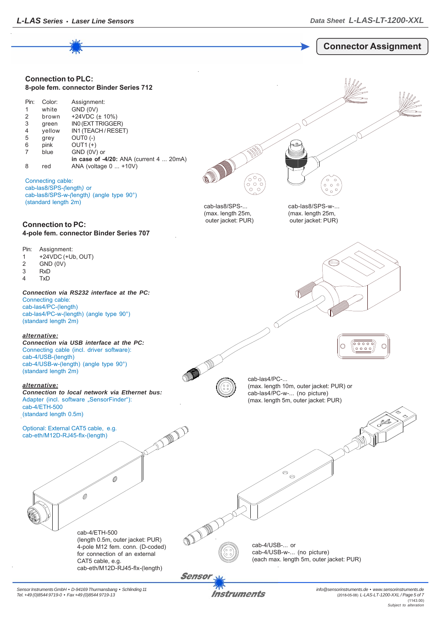

*Sensor Instruments GmbH • D-94169 Thurmansbang • Schlinding 11 Tel. +49 (0)8544 9719-0 • Fax +49 (0)8544 9719-13*

Instruments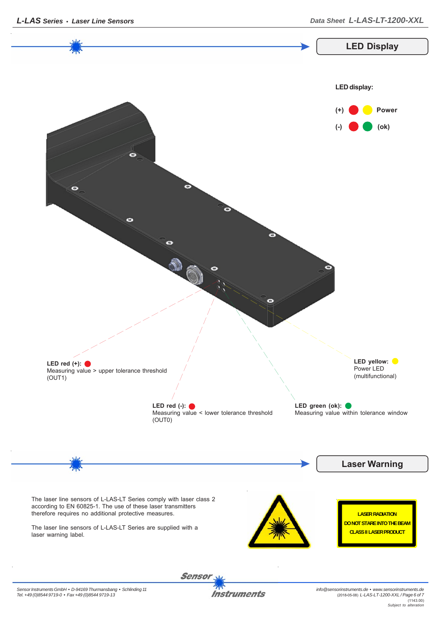

Sensor